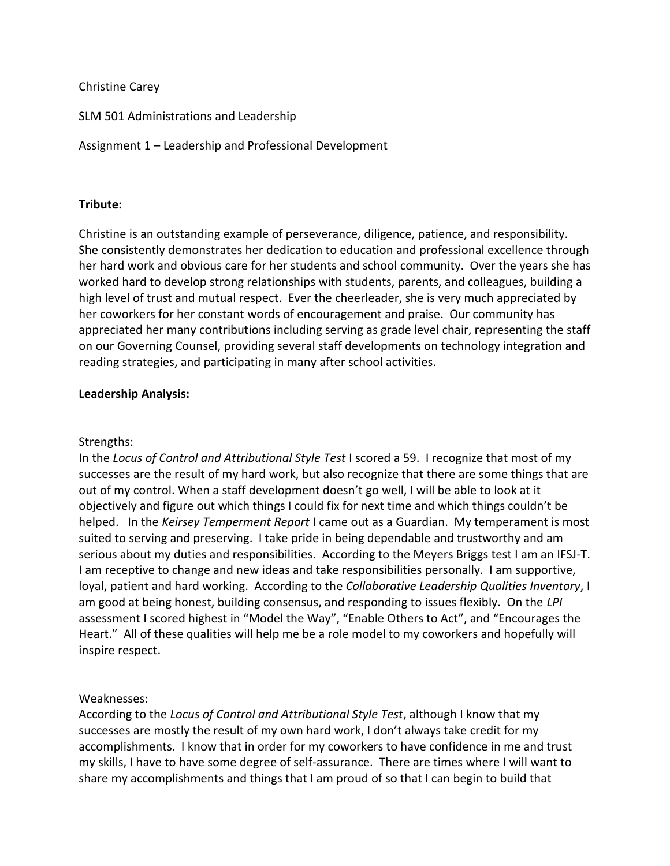## Christine Carey

SLM 501 Administrations and Leadership

Assignment 1 – Leadership and Professional Development

## **Tribute:**

Christine is an outstanding example of perseverance, diligence, patience, and responsibility. She consistently demonstrates her dedication to education and professional excellence through her hard work and obvious care for her students and school community. Over the years she has worked hard to develop strong relationships with students, parents, and colleagues, building a high level of trust and mutual respect. Ever the cheerleader, she is very much appreciated by her coworkers for her constant words of encouragement and praise. Our community has appreciated her many contributions including serving as grade level chair, representing the staff on our Governing Counsel, providing several staff developments on technology integration and reading strategies, and participating in many after school activities.

### **Leadership Analysis:**

#### Strengths:

In the *Locus of Control and Attributional Style Test* I scored a 59. I recognize that most of my successes are the result of my hard work, but also recognize that there are some things that are out of my control. When a staff development doesn't go well, I will be able to look at it objectively and figure out which things I could fix for next time and which things couldn't be helped. In the *Keirsey Temperment Report* I came out as a Guardian. My temperament is most suited to serving and preserving. I take pride in being dependable and trustworthy and am serious about my duties and responsibilities. According to the Meyers Briggs test I am an IFSJ-T. I am receptive to change and new ideas and take responsibilities personally. I am supportive, loyal, patient and hard working. According to the *Collaborative Leadership Qualities Inventory*, I am good at being honest, building consensus, and responding to issues flexibly. On the *LPI* assessment I scored highest in "Model the Way", "Enable Others to Act", and "Encourages the Heart." All of these qualities will help me be a role model to my coworkers and hopefully will inspire respect.

#### Weaknesses:

According to the *Locus of Control and Attributional Style Test*, although I know that my successes are mostly the result of my own hard work, I don't always take credit for my accomplishments. I know that in order for my coworkers to have confidence in me and trust my skills, I have to have some degree of self-assurance. There are times where I will want to share my accomplishments and things that I am proud of so that I can begin to build that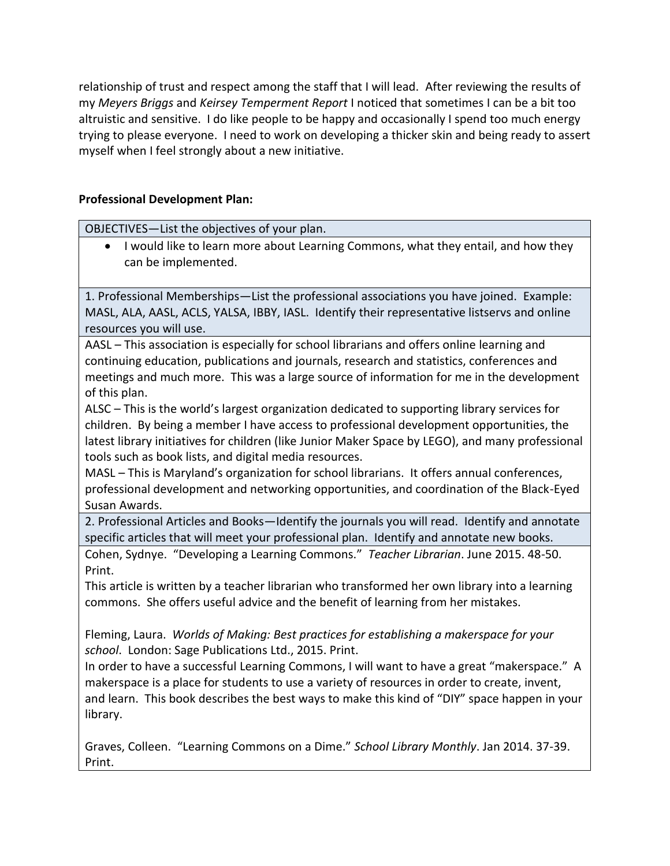relationship of trust and respect among the staff that I will lead. After reviewing the results of my *Meyers Briggs* and *Keirsey Temperment Report* I noticed that sometimes I can be a bit too altruistic and sensitive. I do like people to be happy and occasionally I spend too much energy trying to please everyone. I need to work on developing a thicker skin and being ready to assert myself when I feel strongly about a new initiative.

## **Professional Development Plan:**

OBJECTIVES—List the objectives of your plan.

• I would like to learn more about Learning Commons, what they entail, and how they can be implemented.

1. Professional Memberships—List the professional associations you have joined. Example: MASL, ALA, AASL, ACLS, YALSA, IBBY, IASL. Identify their representative listservs and online resources you will use.

AASL – This association is especially for school librarians and offers online learning and continuing education, publications and journals, research and statistics, conferences and meetings and much more. This was a large source of information for me in the development of this plan.

ALSC – This is the world's largest organization dedicated to supporting library services for children. By being a member I have access to professional development opportunities, the latest library initiatives for children (like Junior Maker Space by LEGO), and many professional tools such as book lists, and digital media resources.

MASL – This is Maryland's organization for school librarians. It offers annual conferences, professional development and networking opportunities, and coordination of the Black-Eyed Susan Awards.

2. Professional Articles and Books—Identify the journals you will read. Identify and annotate specific articles that will meet your professional plan. Identify and annotate new books.

Cohen, Sydnye. "Developing a Learning Commons." *Teacher Librarian*. June 2015. 48-50. Print.

This article is written by a teacher librarian who transformed her own library into a learning commons. She offers useful advice and the benefit of learning from her mistakes.

Fleming, Laura. *Worlds of Making: Best practices for establishing a makerspace for your school*. London: Sage Publications Ltd., 2015. Print.

In order to have a successful Learning Commons, I will want to have a great "makerspace." A makerspace is a place for students to use a variety of resources in order to create, invent, and learn. This book describes the best ways to make this kind of "DIY" space happen in your library.

Graves, Colleen. "Learning Commons on a Dime." *School Library Monthly*. Jan 2014. 37-39. Print.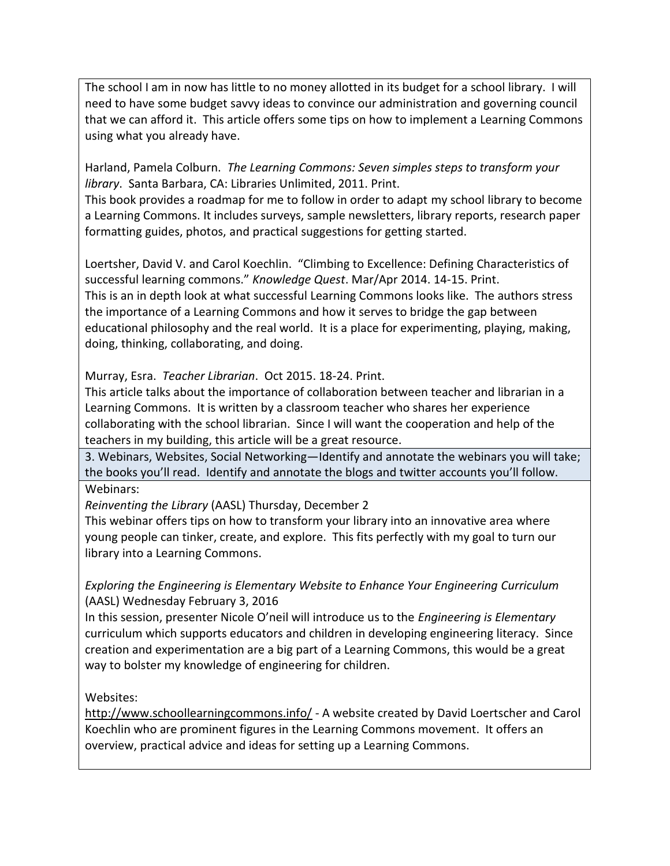The school I am in now has little to no money allotted in its budget for a school library. I will need to have some budget savvy ideas to convince our administration and governing council that we can afford it. This article offers some tips on how to implement a Learning Commons using what you already have.

Harland, Pamela Colburn. *The Learning Commons: Seven simples steps to transform your library*. Santa Barbara, CA: Libraries Unlimited, 2011. Print.

This book provides a roadmap for me to follow in order to adapt my school library to become a Learning Commons. It includes surveys, sample newsletters, library reports, research paper formatting guides, photos, and practical suggestions for getting started.

Loertsher, David V. and Carol Koechlin. "Climbing to Excellence: Defining Characteristics of successful learning commons." *Knowledge Quest*. Mar/Apr 2014. 14-15. Print. This is an in depth look at what successful Learning Commons looks like. The authors stress the importance of a Learning Commons and how it serves to bridge the gap between educational philosophy and the real world. It is a place for experimenting, playing, making, doing, thinking, collaborating, and doing.

Murray, Esra. *Teacher Librarian*. Oct 2015. 18-24. Print.

This article talks about the importance of collaboration between teacher and librarian in a Learning Commons. It is written by a classroom teacher who shares her experience collaborating with the school librarian. Since I will want the cooperation and help of the teachers in my building, this article will be a great resource.

3. Webinars, Websites, Social Networking—Identify and annotate the webinars you will take; the books you'll read. Identify and annotate the blogs and twitter accounts you'll follow. Webinars:

*Reinventing the Library* (AASL) Thursday, December 2

This webinar offers tips on how to transform your library into an innovative area where young people can tinker, create, and explore. This fits perfectly with my goal to turn our library into a Learning Commons.

*Exploring the Engineering is Elementary Website to Enhance Your Engineering Curriculum* (AASL) Wednesday February 3, 2016

In this session, presenter Nicole O'neil will introduce us to the *Engineering is Elementary* curriculum which supports educators and children in developing engineering literacy. Since creation and experimentation are a big part of a Learning Commons, this would be a great way to bolster my knowledge of engineering for children.

Websites:

<http://www.schoollearningcommons.info/> - A website created by David Loertscher and Carol Koechlin who are prominent figures in the Learning Commons movement. It offers an overview, practical advice and ideas for setting up a Learning Commons.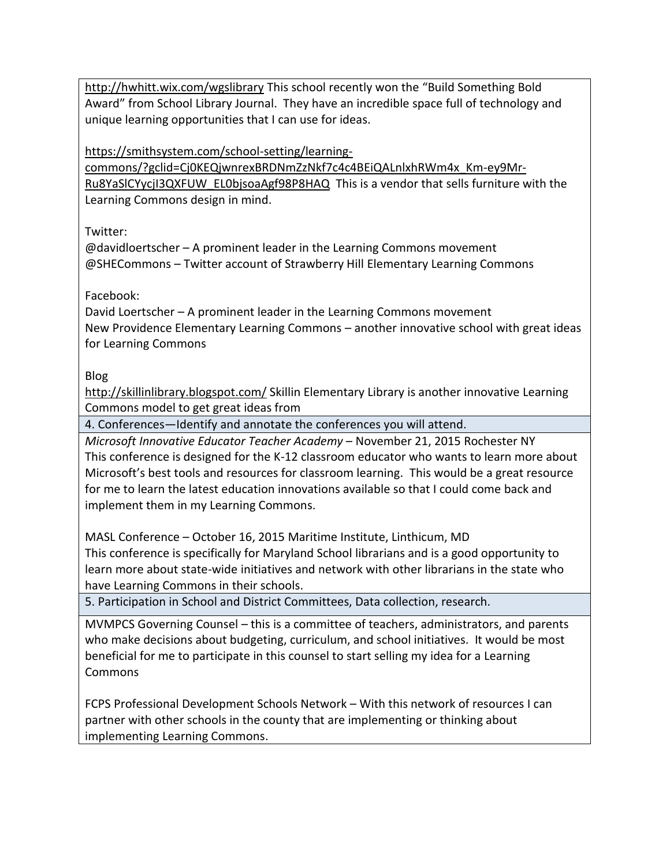<http://hwhitt.wix.com/wgslibrary> This school recently won the "Build Something Bold Award" from School Library Journal. They have an incredible space full of technology and unique learning opportunities that I can use for ideas.

[https://smithsystem.com/school-setting/learning-](https://smithsystem.com/school-setting/learning-commons/?gclid=Cj0KEQjwnrexBRDNmZzNkf7c4c4BEiQALnlxhRWm4x_Km-ey9Mr-Ru8YaSlCYycjI3QXFUW_EL0bjsoaAgf98P8HAQ)

[commons/?gclid=Cj0KEQjwnrexBRDNmZzNkf7c4c4BEiQALnlxhRWm4x\\_Km-ey9Mr-](https://smithsystem.com/school-setting/learning-commons/?gclid=Cj0KEQjwnrexBRDNmZzNkf7c4c4BEiQALnlxhRWm4x_Km-ey9Mr-Ru8YaSlCYycjI3QXFUW_EL0bjsoaAgf98P8HAQ)[Ru8YaSlCYycjI3QXFUW\\_EL0bjsoaAgf98P8HAQ](https://smithsystem.com/school-setting/learning-commons/?gclid=Cj0KEQjwnrexBRDNmZzNkf7c4c4BEiQALnlxhRWm4x_Km-ey9Mr-Ru8YaSlCYycjI3QXFUW_EL0bjsoaAgf98P8HAQ) This is a vendor that sells furniture with the Learning Commons design in mind.

Twitter:

@davidloertscher – A prominent leader in the Learning Commons movement @SHECommons – Twitter account of Strawberry Hill Elementary Learning Commons

# Facebook:

David Loertscher – A prominent leader in the Learning Commons movement New Providence Elementary Learning Commons – another innovative school with great ideas for Learning Commons

Blog

<http://skillinlibrary.blogspot.com/> Skillin Elementary Library is another innovative Learning Commons model to get great ideas from

4. Conferences—Identify and annotate the conferences you will attend.

*Microsoft Innovative Educator Teacher Academy* – November 21, 2015 Rochester NY This conference is designed for the K-12 classroom educator who wants to learn more about Microsoft's best tools and resources for classroom learning. This would be a great resource for me to learn the latest education innovations available so that I could come back and implement them in my Learning Commons.

MASL Conference – October 16, 2015 Maritime Institute, Linthicum, MD This conference is specifically for Maryland School librarians and is a good opportunity to learn more about state-wide initiatives and network with other librarians in the state who have Learning Commons in their schools.

5. Participation in School and District Committees, Data collection, research.

MVMPCS Governing Counsel – this is a committee of teachers, administrators, and parents who make decisions about budgeting, curriculum, and school initiatives. It would be most beneficial for me to participate in this counsel to start selling my idea for a Learning Commons

FCPS Professional Development Schools Network – With this network of resources I can partner with other schools in the county that are implementing or thinking about implementing Learning Commons.